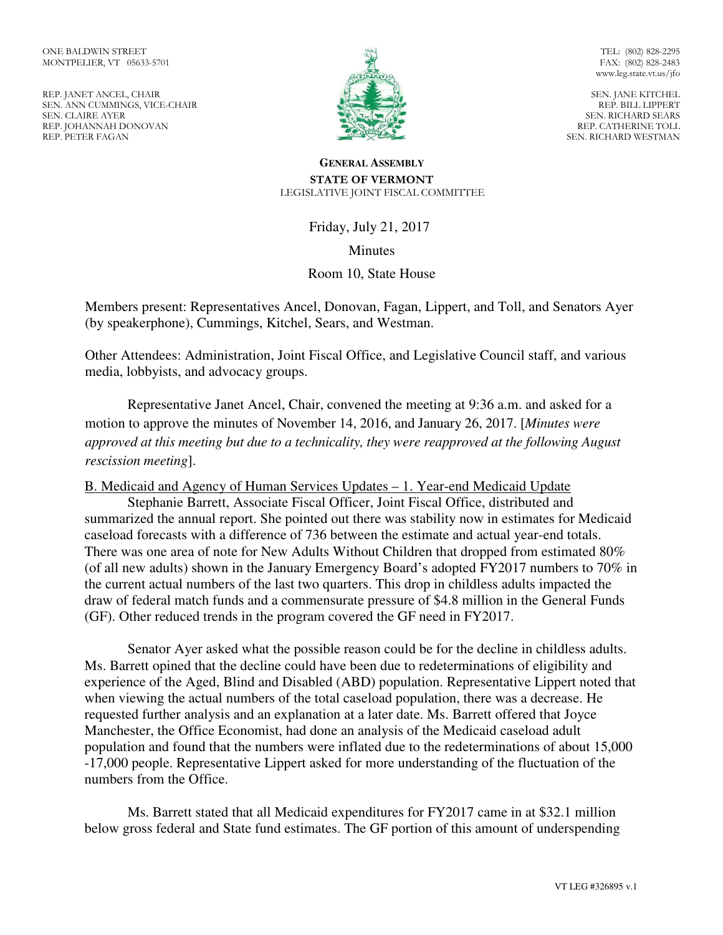REP. JANET ANCEL, CHAIR SEN. ANN CUMMINGS, VICE-CHAIR SEN. CLAIRE AYER REP. JOHANNAH DONOVAN REP. PETER FAGAN



TEL: (802) 828-2295 FAX: (802) 828-2483 www.leg.state.vt.us/jfo

SEN. JANE KITCHEL REP. BILL LIPPERT SEN. RICHARD SEARS REP. CATHERINE TOLL SEN. RICHARD WESTMAN

#### **GENERAL ASSEMBLY STATE OF VERMONT**  LEGISLATIVE JOINT FISCAL COMMITTEE

Friday, July 21, 2017

**Minutes** 

Room 10, State House

Members present: Representatives Ancel, Donovan, Fagan, Lippert, and Toll, and Senators Ayer (by speakerphone), Cummings, Kitchel, Sears, and Westman.

Other Attendees: Administration, Joint Fiscal Office, and Legislative Council staff, and various media, lobbyists, and advocacy groups.

Representative Janet Ancel, Chair, convened the meeting at 9:36 a.m. and asked for a motion to approve the minutes of November 14, 2016, and January 26, 2017. [*Minutes were approved at this meeting but due to a technicality, they were reapproved at the following August rescission meeting*].

B. Medicaid and Agency of Human Services Updates – 1. Year-end Medicaid Update

 Stephanie Barrett, Associate Fiscal Officer, Joint Fiscal Office, distributed and summarized the annual report. She pointed out there was stability now in estimates for Medicaid caseload forecasts with a difference of 736 between the estimate and actual year-end totals. There was one area of note for New Adults Without Children that dropped from estimated 80% (of all new adults) shown in the January Emergency Board's adopted FY2017 numbers to 70% in the current actual numbers of the last two quarters. This drop in childless adults impacted the draw of federal match funds and a commensurate pressure of \$4.8 million in the General Funds (GF). Other reduced trends in the program covered the GF need in FY2017.

 Senator Ayer asked what the possible reason could be for the decline in childless adults. Ms. Barrett opined that the decline could have been due to redeterminations of eligibility and experience of the Aged, Blind and Disabled (ABD) population. Representative Lippert noted that when viewing the actual numbers of the total caseload population, there was a decrease. He requested further analysis and an explanation at a later date. Ms. Barrett offered that Joyce Manchester, the Office Economist, had done an analysis of the Medicaid caseload adult population and found that the numbers were inflated due to the redeterminations of about 15,000 -17,000 people. Representative Lippert asked for more understanding of the fluctuation of the numbers from the Office.

 Ms. Barrett stated that all Medicaid expenditures for FY2017 came in at \$32.1 million below gross federal and State fund estimates. The GF portion of this amount of underspending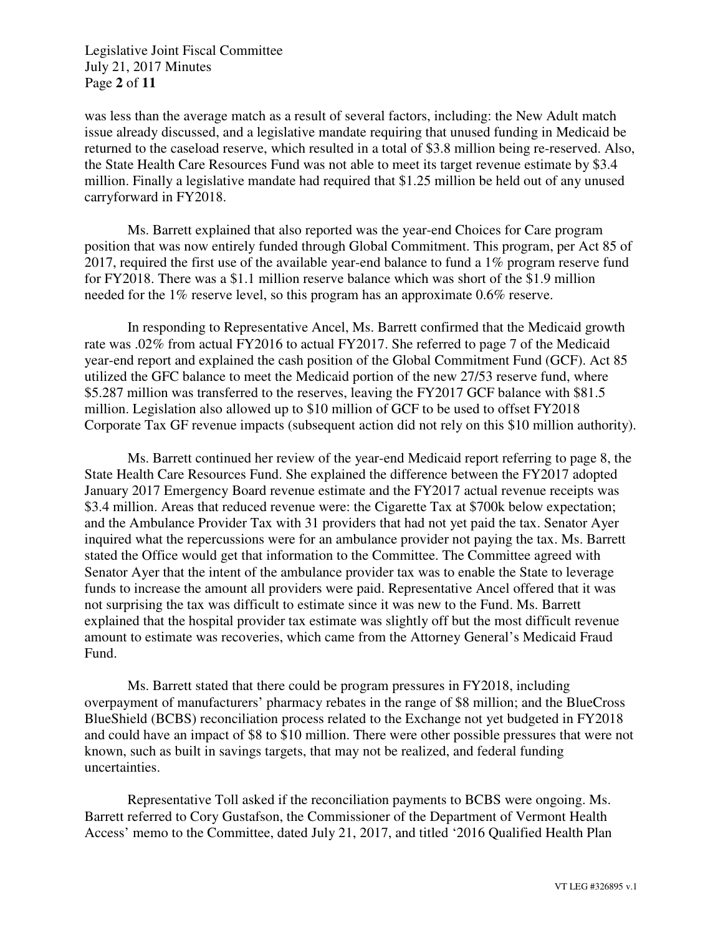Legislative Joint Fiscal Committee July 21, 2017 Minutes Page **2** of **11** 

was less than the average match as a result of several factors, including: the New Adult match issue already discussed, and a legislative mandate requiring that unused funding in Medicaid be returned to the caseload reserve, which resulted in a total of \$3.8 million being re-reserved. Also, the State Health Care Resources Fund was not able to meet its target revenue estimate by \$3.4 million. Finally a legislative mandate had required that \$1.25 million be held out of any unused carryforward in FY2018.

 Ms. Barrett explained that also reported was the year-end Choices for Care program position that was now entirely funded through Global Commitment. This program, per Act 85 of 2017, required the first use of the available year-end balance to fund a 1% program reserve fund for FY2018. There was a \$1.1 million reserve balance which was short of the \$1.9 million needed for the 1% reserve level, so this program has an approximate 0.6% reserve.

 In responding to Representative Ancel, Ms. Barrett confirmed that the Medicaid growth rate was .02% from actual FY2016 to actual FY2017. She referred to page 7 of the Medicaid year-end report and explained the cash position of the Global Commitment Fund (GCF). Act 85 utilized the GFC balance to meet the Medicaid portion of the new 27/53 reserve fund, where \$5.287 million was transferred to the reserves, leaving the FY2017 GCF balance with \$81.5 million. Legislation also allowed up to \$10 million of GCF to be used to offset FY2018 Corporate Tax GF revenue impacts (subsequent action did not rely on this \$10 million authority).

 Ms. Barrett continued her review of the year-end Medicaid report referring to page 8, the State Health Care Resources Fund. She explained the difference between the FY2017 adopted January 2017 Emergency Board revenue estimate and the FY2017 actual revenue receipts was \$3.4 million. Areas that reduced revenue were: the Cigarette Tax at \$700k below expectation; and the Ambulance Provider Tax with 31 providers that had not yet paid the tax. Senator Ayer inquired what the repercussions were for an ambulance provider not paying the tax. Ms. Barrett stated the Office would get that information to the Committee. The Committee agreed with Senator Ayer that the intent of the ambulance provider tax was to enable the State to leverage funds to increase the amount all providers were paid. Representative Ancel offered that it was not surprising the tax was difficult to estimate since it was new to the Fund. Ms. Barrett explained that the hospital provider tax estimate was slightly off but the most difficult revenue amount to estimate was recoveries, which came from the Attorney General's Medicaid Fraud Fund.

 Ms. Barrett stated that there could be program pressures in FY2018, including overpayment of manufacturers' pharmacy rebates in the range of \$8 million; and the BlueCross BlueShield (BCBS) reconciliation process related to the Exchange not yet budgeted in FY2018 and could have an impact of \$8 to \$10 million. There were other possible pressures that were not known, such as built in savings targets, that may not be realized, and federal funding uncertainties.

 Representative Toll asked if the reconciliation payments to BCBS were ongoing. Ms. Barrett referred to Cory Gustafson, the Commissioner of the Department of Vermont Health Access' memo to the Committee, dated July 21, 2017, and titled '2016 Qualified Health Plan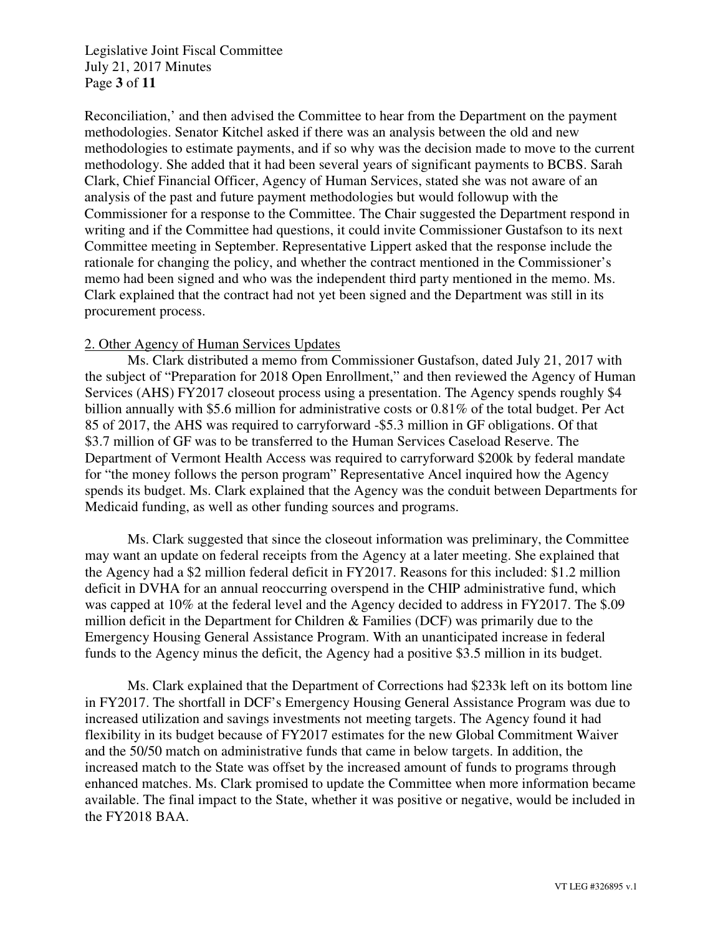Legislative Joint Fiscal Committee July 21, 2017 Minutes Page **3** of **11** 

Reconciliation,' and then advised the Committee to hear from the Department on the payment methodologies. Senator Kitchel asked if there was an analysis between the old and new methodologies to estimate payments, and if so why was the decision made to move to the current methodology. She added that it had been several years of significant payments to BCBS. Sarah Clark, Chief Financial Officer, Agency of Human Services, stated she was not aware of an analysis of the past and future payment methodologies but would followup with the Commissioner for a response to the Committee. The Chair suggested the Department respond in writing and if the Committee had questions, it could invite Commissioner Gustafson to its next Committee meeting in September. Representative Lippert asked that the response include the rationale for changing the policy, and whether the contract mentioned in the Commissioner's memo had been signed and who was the independent third party mentioned in the memo. Ms. Clark explained that the contract had not yet been signed and the Department was still in its procurement process.

#### 2. Other Agency of Human Services Updates

Ms. Clark distributed a memo from Commissioner Gustafson, dated July 21, 2017 with the subject of "Preparation for 2018 Open Enrollment," and then reviewed the Agency of Human Services (AHS) FY2017 closeout process using a presentation. The Agency spends roughly \$4 billion annually with \$5.6 million for administrative costs or 0.81% of the total budget. Per Act 85 of 2017, the AHS was required to carryforward -\$5.3 million in GF obligations. Of that \$3.7 million of GF was to be transferred to the Human Services Caseload Reserve. The Department of Vermont Health Access was required to carryforward \$200k by federal mandate for "the money follows the person program" Representative Ancel inquired how the Agency spends its budget. Ms. Clark explained that the Agency was the conduit between Departments for Medicaid funding, as well as other funding sources and programs.

Ms. Clark suggested that since the closeout information was preliminary, the Committee may want an update on federal receipts from the Agency at a later meeting. She explained that the Agency had a \$2 million federal deficit in FY2017. Reasons for this included: \$1.2 million deficit in DVHA for an annual reoccurring overspend in the CHIP administrative fund, which was capped at 10% at the federal level and the Agency decided to address in FY2017. The \$.09 million deficit in the Department for Children & Families (DCF) was primarily due to the Emergency Housing General Assistance Program. With an unanticipated increase in federal funds to the Agency minus the deficit, the Agency had a positive \$3.5 million in its budget.

Ms. Clark explained that the Department of Corrections had \$233k left on its bottom line in FY2017. The shortfall in DCF's Emergency Housing General Assistance Program was due to increased utilization and savings investments not meeting targets. The Agency found it had flexibility in its budget because of FY2017 estimates for the new Global Commitment Waiver and the 50/50 match on administrative funds that came in below targets. In addition, the increased match to the State was offset by the increased amount of funds to programs through enhanced matches. Ms. Clark promised to update the Committee when more information became available. The final impact to the State, whether it was positive or negative, would be included in the FY2018 BAA.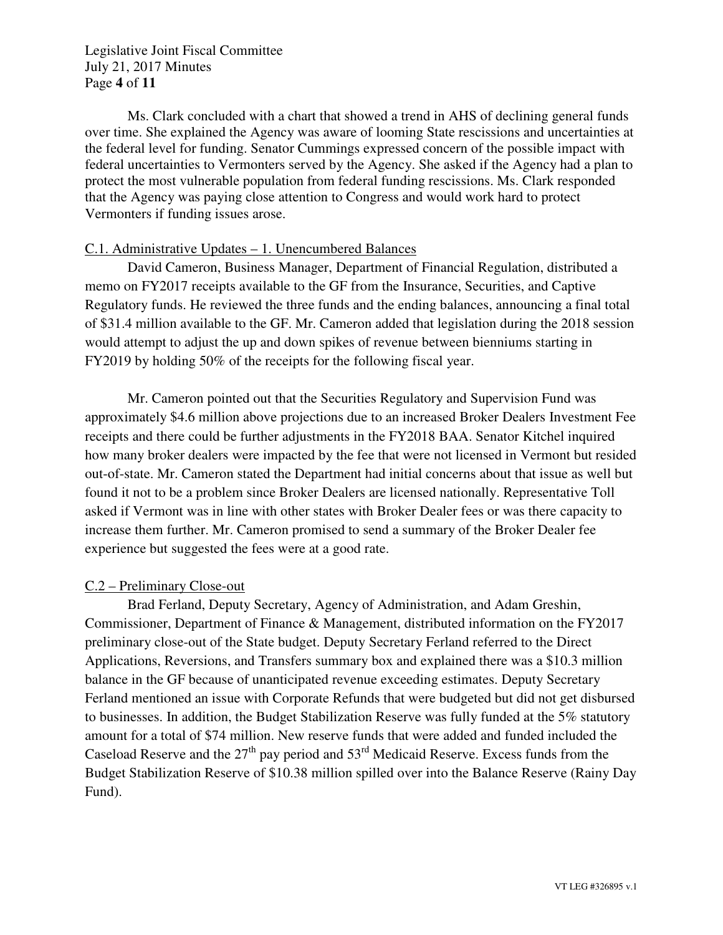Legislative Joint Fiscal Committee July 21, 2017 Minutes Page **4** of **11** 

Ms. Clark concluded with a chart that showed a trend in AHS of declining general funds over time. She explained the Agency was aware of looming State rescissions and uncertainties at the federal level for funding. Senator Cummings expressed concern of the possible impact with federal uncertainties to Vermonters served by the Agency. She asked if the Agency had a plan to protect the most vulnerable population from federal funding rescissions. Ms. Clark responded that the Agency was paying close attention to Congress and would work hard to protect Vermonters if funding issues arose.

## C.1. Administrative Updates – 1. Unencumbered Balances

David Cameron, Business Manager, Department of Financial Regulation, distributed a memo on FY2017 receipts available to the GF from the Insurance, Securities, and Captive Regulatory funds. He reviewed the three funds and the ending balances, announcing a final total of \$31.4 million available to the GF. Mr. Cameron added that legislation during the 2018 session would attempt to adjust the up and down spikes of revenue between bienniums starting in FY2019 by holding 50% of the receipts for the following fiscal year.

Mr. Cameron pointed out that the Securities Regulatory and Supervision Fund was approximately \$4.6 million above projections due to an increased Broker Dealers Investment Fee receipts and there could be further adjustments in the FY2018 BAA. Senator Kitchel inquired how many broker dealers were impacted by the fee that were not licensed in Vermont but resided out-of-state. Mr. Cameron stated the Department had initial concerns about that issue as well but found it not to be a problem since Broker Dealers are licensed nationally. Representative Toll asked if Vermont was in line with other states with Broker Dealer fees or was there capacity to increase them further. Mr. Cameron promised to send a summary of the Broker Dealer fee experience but suggested the fees were at a good rate.

#### C.2 – Preliminary Close-out

Brad Ferland, Deputy Secretary, Agency of Administration, and Adam Greshin, Commissioner, Department of Finance & Management, distributed information on the FY2017 preliminary close-out of the State budget. Deputy Secretary Ferland referred to the Direct Applications, Reversions, and Transfers summary box and explained there was a \$10.3 million balance in the GF because of unanticipated revenue exceeding estimates. Deputy Secretary Ferland mentioned an issue with Corporate Refunds that were budgeted but did not get disbursed to businesses. In addition, the Budget Stabilization Reserve was fully funded at the 5% statutory amount for a total of \$74 million. New reserve funds that were added and funded included the Caseload Reserve and the  $27<sup>th</sup>$  pay period and  $53<sup>rd</sup>$  Medicaid Reserve. Excess funds from the Budget Stabilization Reserve of \$10.38 million spilled over into the Balance Reserve (Rainy Day Fund).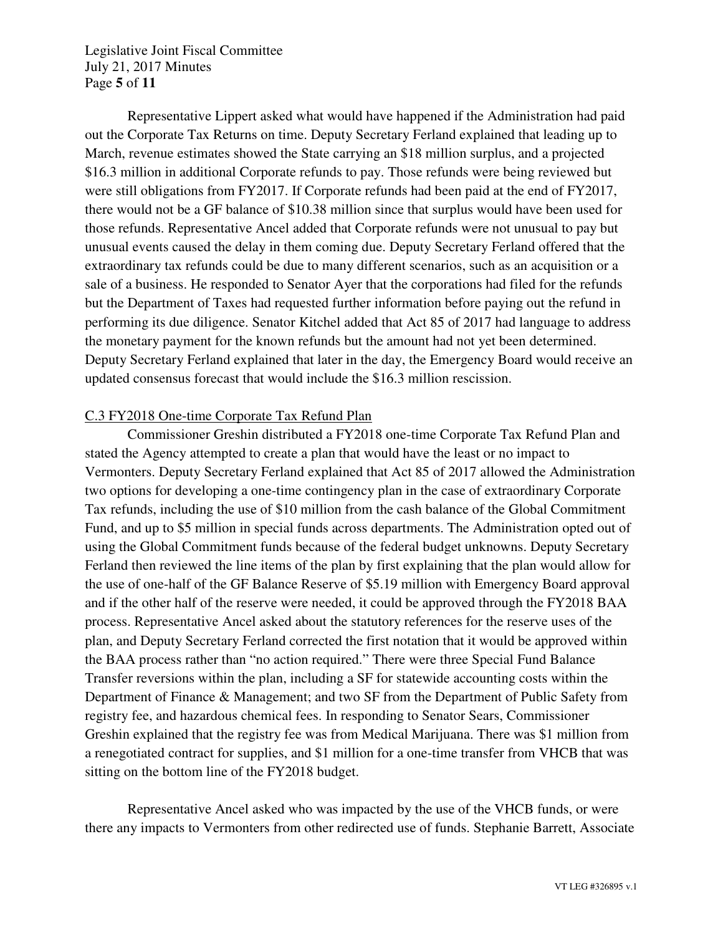Legislative Joint Fiscal Committee July 21, 2017 Minutes Page **5** of **11** 

Representative Lippert asked what would have happened if the Administration had paid out the Corporate Tax Returns on time. Deputy Secretary Ferland explained that leading up to March, revenue estimates showed the State carrying an \$18 million surplus, and a projected \$16.3 million in additional Corporate refunds to pay. Those refunds were being reviewed but were still obligations from FY2017. If Corporate refunds had been paid at the end of FY2017, there would not be a GF balance of \$10.38 million since that surplus would have been used for those refunds. Representative Ancel added that Corporate refunds were not unusual to pay but unusual events caused the delay in them coming due. Deputy Secretary Ferland offered that the extraordinary tax refunds could be due to many different scenarios, such as an acquisition or a sale of a business. He responded to Senator Ayer that the corporations had filed for the refunds but the Department of Taxes had requested further information before paying out the refund in performing its due diligence. Senator Kitchel added that Act 85 of 2017 had language to address the monetary payment for the known refunds but the amount had not yet been determined. Deputy Secretary Ferland explained that later in the day, the Emergency Board would receive an updated consensus forecast that would include the \$16.3 million rescission.

#### C.3 FY2018 One-time Corporate Tax Refund Plan

Commissioner Greshin distributed a FY2018 one-time Corporate Tax Refund Plan and stated the Agency attempted to create a plan that would have the least or no impact to Vermonters. Deputy Secretary Ferland explained that Act 85 of 2017 allowed the Administration two options for developing a one-time contingency plan in the case of extraordinary Corporate Tax refunds, including the use of \$10 million from the cash balance of the Global Commitment Fund, and up to \$5 million in special funds across departments. The Administration opted out of using the Global Commitment funds because of the federal budget unknowns. Deputy Secretary Ferland then reviewed the line items of the plan by first explaining that the plan would allow for the use of one-half of the GF Balance Reserve of \$5.19 million with Emergency Board approval and if the other half of the reserve were needed, it could be approved through the FY2018 BAA process. Representative Ancel asked about the statutory references for the reserve uses of the plan, and Deputy Secretary Ferland corrected the first notation that it would be approved within the BAA process rather than "no action required." There were three Special Fund Balance Transfer reversions within the plan, including a SF for statewide accounting costs within the Department of Finance & Management; and two SF from the Department of Public Safety from registry fee, and hazardous chemical fees. In responding to Senator Sears, Commissioner Greshin explained that the registry fee was from Medical Marijuana. There was \$1 million from a renegotiated contract for supplies, and \$1 million for a one-time transfer from VHCB that was sitting on the bottom line of the FY2018 budget.

Representative Ancel asked who was impacted by the use of the VHCB funds, or were there any impacts to Vermonters from other redirected use of funds. Stephanie Barrett, Associate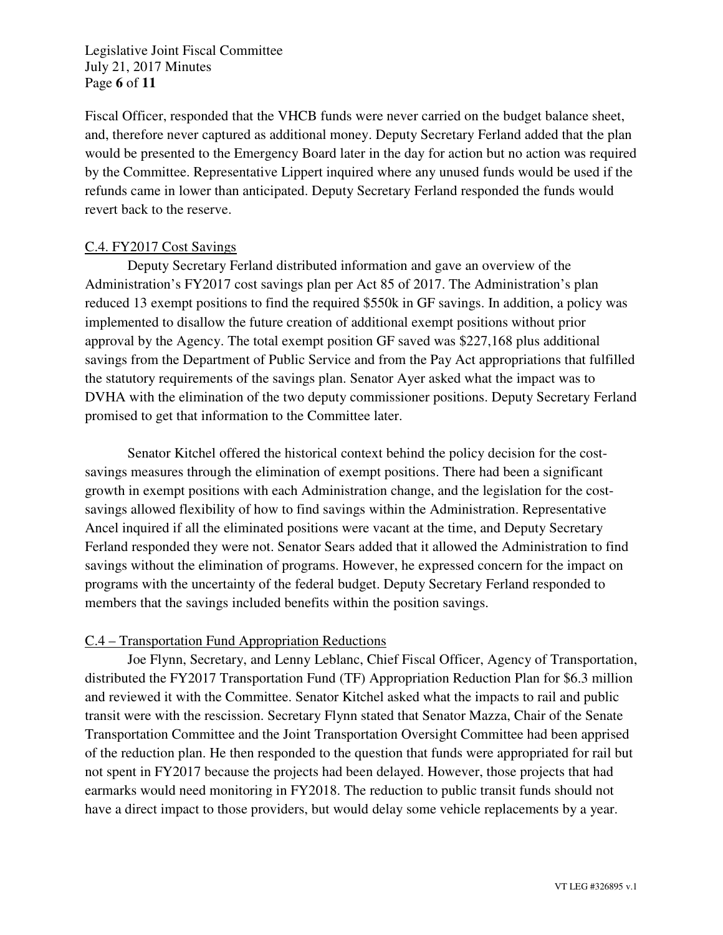Legislative Joint Fiscal Committee July 21, 2017 Minutes Page **6** of **11** 

Fiscal Officer, responded that the VHCB funds were never carried on the budget balance sheet, and, therefore never captured as additional money. Deputy Secretary Ferland added that the plan would be presented to the Emergency Board later in the day for action but no action was required by the Committee. Representative Lippert inquired where any unused funds would be used if the refunds came in lower than anticipated. Deputy Secretary Ferland responded the funds would revert back to the reserve.

## C.4. FY2017 Cost Savings

 Deputy Secretary Ferland distributed information and gave an overview of the Administration's FY2017 cost savings plan per Act 85 of 2017. The Administration's plan reduced 13 exempt positions to find the required \$550k in GF savings. In addition, a policy was implemented to disallow the future creation of additional exempt positions without prior approval by the Agency. The total exempt position GF saved was \$227,168 plus additional savings from the Department of Public Service and from the Pay Act appropriations that fulfilled the statutory requirements of the savings plan. Senator Ayer asked what the impact was to DVHA with the elimination of the two deputy commissioner positions. Deputy Secretary Ferland promised to get that information to the Committee later.

Senator Kitchel offered the historical context behind the policy decision for the costsavings measures through the elimination of exempt positions. There had been a significant growth in exempt positions with each Administration change, and the legislation for the costsavings allowed flexibility of how to find savings within the Administration. Representative Ancel inquired if all the eliminated positions were vacant at the time, and Deputy Secretary Ferland responded they were not. Senator Sears added that it allowed the Administration to find savings without the elimination of programs. However, he expressed concern for the impact on programs with the uncertainty of the federal budget. Deputy Secretary Ferland responded to members that the savings included benefits within the position savings.

## C.4 – Transportation Fund Appropriation Reductions

Joe Flynn, Secretary, and Lenny Leblanc, Chief Fiscal Officer, Agency of Transportation, distributed the FY2017 Transportation Fund (TF) Appropriation Reduction Plan for \$6.3 million and reviewed it with the Committee. Senator Kitchel asked what the impacts to rail and public transit were with the rescission. Secretary Flynn stated that Senator Mazza, Chair of the Senate Transportation Committee and the Joint Transportation Oversight Committee had been apprised of the reduction plan. He then responded to the question that funds were appropriated for rail but not spent in FY2017 because the projects had been delayed. However, those projects that had earmarks would need monitoring in FY2018. The reduction to public transit funds should not have a direct impact to those providers, but would delay some vehicle replacements by a year.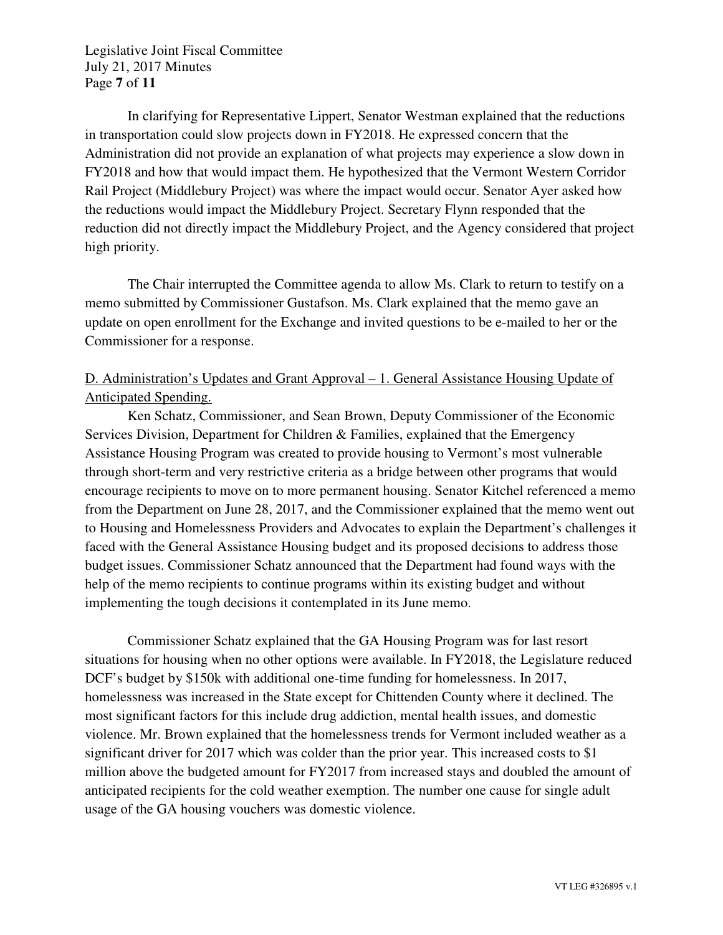Legislative Joint Fiscal Committee July 21, 2017 Minutes Page **7** of **11** 

In clarifying for Representative Lippert, Senator Westman explained that the reductions in transportation could slow projects down in FY2018. He expressed concern that the Administration did not provide an explanation of what projects may experience a slow down in FY2018 and how that would impact them. He hypothesized that the Vermont Western Corridor Rail Project (Middlebury Project) was where the impact would occur. Senator Ayer asked how the reductions would impact the Middlebury Project. Secretary Flynn responded that the reduction did not directly impact the Middlebury Project, and the Agency considered that project high priority.

 The Chair interrupted the Committee agenda to allow Ms. Clark to return to testify on a memo submitted by Commissioner Gustafson. Ms. Clark explained that the memo gave an update on open enrollment for the Exchange and invited questions to be e-mailed to her or the Commissioner for a response.

# D. Administration's Updates and Grant Approval – 1. General Assistance Housing Update of Anticipated Spending.

Ken Schatz, Commissioner, and Sean Brown, Deputy Commissioner of the Economic Services Division, Department for Children & Families, explained that the Emergency Assistance Housing Program was created to provide housing to Vermont's most vulnerable through short-term and very restrictive criteria as a bridge between other programs that would encourage recipients to move on to more permanent housing. Senator Kitchel referenced a memo from the Department on June 28, 2017, and the Commissioner explained that the memo went out to Housing and Homelessness Providers and Advocates to explain the Department's challenges it faced with the General Assistance Housing budget and its proposed decisions to address those budget issues. Commissioner Schatz announced that the Department had found ways with the help of the memo recipients to continue programs within its existing budget and without implementing the tough decisions it contemplated in its June memo.

Commissioner Schatz explained that the GA Housing Program was for last resort situations for housing when no other options were available. In FY2018, the Legislature reduced DCF's budget by \$150k with additional one-time funding for homelessness. In 2017, homelessness was increased in the State except for Chittenden County where it declined. The most significant factors for this include drug addiction, mental health issues, and domestic violence. Mr. Brown explained that the homelessness trends for Vermont included weather as a significant driver for 2017 which was colder than the prior year. This increased costs to \$1 million above the budgeted amount for FY2017 from increased stays and doubled the amount of anticipated recipients for the cold weather exemption. The number one cause for single adult usage of the GA housing vouchers was domestic violence.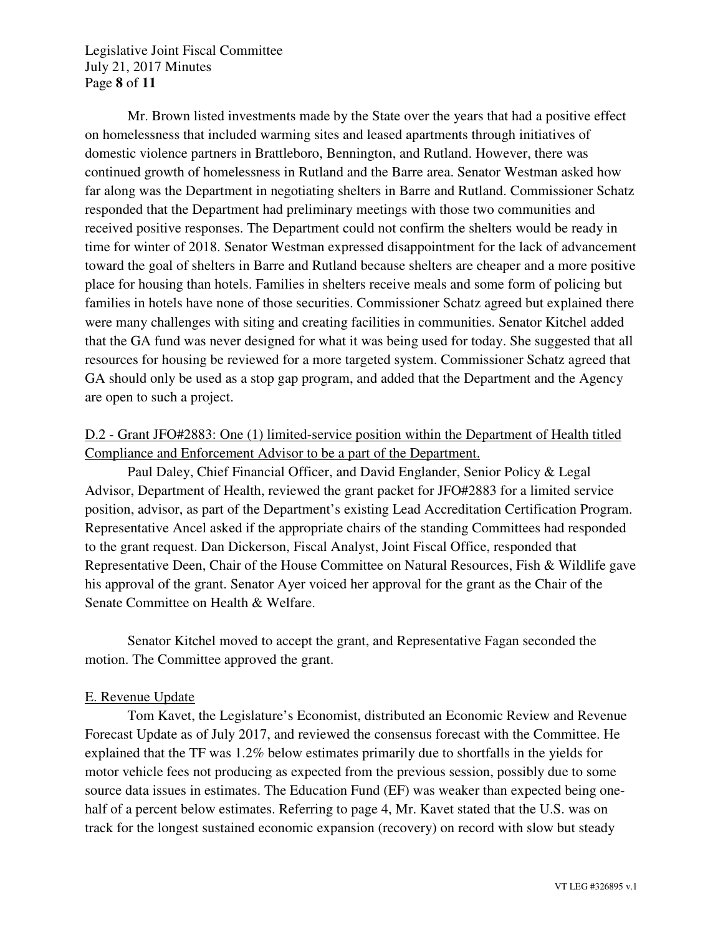Legislative Joint Fiscal Committee July 21, 2017 Minutes Page **8** of **11** 

Mr. Brown listed investments made by the State over the years that had a positive effect on homelessness that included warming sites and leased apartments through initiatives of domestic violence partners in Brattleboro, Bennington, and Rutland. However, there was continued growth of homelessness in Rutland and the Barre area. Senator Westman asked how far along was the Department in negotiating shelters in Barre and Rutland. Commissioner Schatz responded that the Department had preliminary meetings with those two communities and received positive responses. The Department could not confirm the shelters would be ready in time for winter of 2018. Senator Westman expressed disappointment for the lack of advancement toward the goal of shelters in Barre and Rutland because shelters are cheaper and a more positive place for housing than hotels. Families in shelters receive meals and some form of policing but families in hotels have none of those securities. Commissioner Schatz agreed but explained there were many challenges with siting and creating facilities in communities. Senator Kitchel added that the GA fund was never designed for what it was being used for today. She suggested that all resources for housing be reviewed for a more targeted system. Commissioner Schatz agreed that GA should only be used as a stop gap program, and added that the Department and the Agency are open to such a project.

# D.2 - Grant JFO#2883: One (1) limited-service position within the Department of Health titled Compliance and Enforcement Advisor to be a part of the Department.

Paul Daley, Chief Financial Officer, and David Englander, Senior Policy & Legal Advisor, Department of Health, reviewed the grant packet for JFO#2883 for a limited service position, advisor, as part of the Department's existing Lead Accreditation Certification Program. Representative Ancel asked if the appropriate chairs of the standing Committees had responded to the grant request. Dan Dickerson, Fiscal Analyst, Joint Fiscal Office, responded that Representative Deen, Chair of the House Committee on Natural Resources, Fish & Wildlife gave his approval of the grant. Senator Ayer voiced her approval for the grant as the Chair of the Senate Committee on Health & Welfare.

Senator Kitchel moved to accept the grant, and Representative Fagan seconded the motion. The Committee approved the grant.

## E. Revenue Update

Tom Kavet, the Legislature's Economist, distributed an Economic Review and Revenue Forecast Update as of July 2017, and reviewed the consensus forecast with the Committee. He explained that the TF was 1.2% below estimates primarily due to shortfalls in the yields for motor vehicle fees not producing as expected from the previous session, possibly due to some source data issues in estimates. The Education Fund (EF) was weaker than expected being onehalf of a percent below estimates. Referring to page 4, Mr. Kavet stated that the U.S. was on track for the longest sustained economic expansion (recovery) on record with slow but steady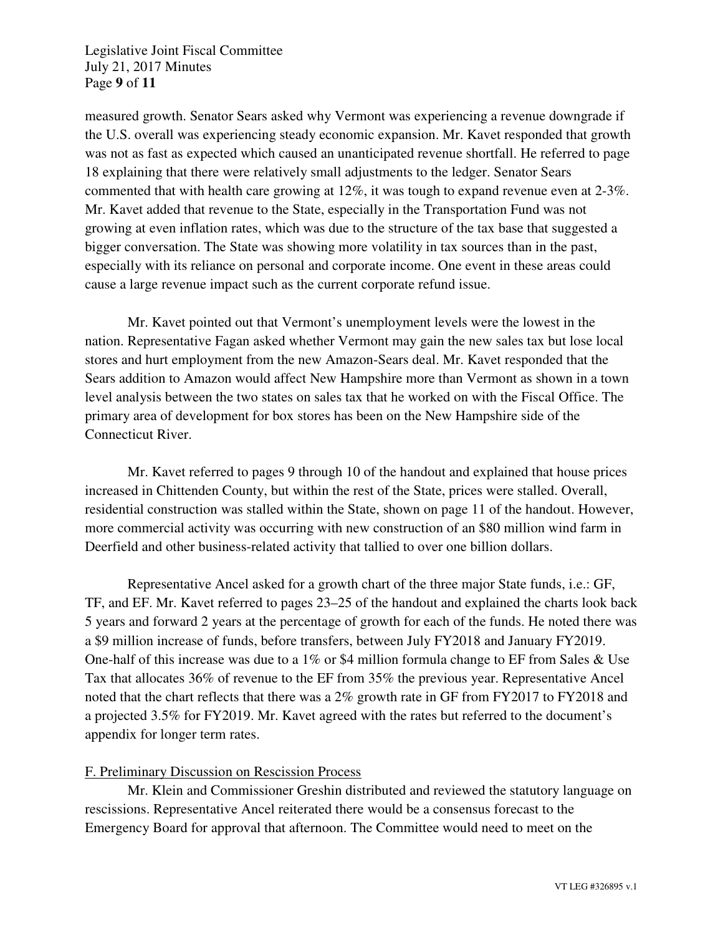Legislative Joint Fiscal Committee July 21, 2017 Minutes Page **9** of **11** 

measured growth. Senator Sears asked why Vermont was experiencing a revenue downgrade if the U.S. overall was experiencing steady economic expansion. Mr. Kavet responded that growth was not as fast as expected which caused an unanticipated revenue shortfall. He referred to page 18 explaining that there were relatively small adjustments to the ledger. Senator Sears commented that with health care growing at 12%, it was tough to expand revenue even at 2-3%. Mr. Kavet added that revenue to the State, especially in the Transportation Fund was not growing at even inflation rates, which was due to the structure of the tax base that suggested a bigger conversation. The State was showing more volatility in tax sources than in the past, especially with its reliance on personal and corporate income. One event in these areas could cause a large revenue impact such as the current corporate refund issue.

Mr. Kavet pointed out that Vermont's unemployment levels were the lowest in the nation. Representative Fagan asked whether Vermont may gain the new sales tax but lose local stores and hurt employment from the new Amazon-Sears deal. Mr. Kavet responded that the Sears addition to Amazon would affect New Hampshire more than Vermont as shown in a town level analysis between the two states on sales tax that he worked on with the Fiscal Office. The primary area of development for box stores has been on the New Hampshire side of the Connecticut River.

Mr. Kavet referred to pages 9 through 10 of the handout and explained that house prices increased in Chittenden County, but within the rest of the State, prices were stalled. Overall, residential construction was stalled within the State, shown on page 11 of the handout. However, more commercial activity was occurring with new construction of an \$80 million wind farm in Deerfield and other business-related activity that tallied to over one billion dollars.

Representative Ancel asked for a growth chart of the three major State funds, i.e.: GF, TF, and EF. Mr. Kavet referred to pages 23–25 of the handout and explained the charts look back 5 years and forward 2 years at the percentage of growth for each of the funds. He noted there was a \$9 million increase of funds, before transfers, between July FY2018 and January FY2019. One-half of this increase was due to a 1% or \$4 million formula change to EF from Sales & Use Tax that allocates 36% of revenue to the EF from 35% the previous year. Representative Ancel noted that the chart reflects that there was a 2% growth rate in GF from FY2017 to FY2018 and a projected 3.5% for FY2019. Mr. Kavet agreed with the rates but referred to the document's appendix for longer term rates.

## F. Preliminary Discussion on Rescission Process

Mr. Klein and Commissioner Greshin distributed and reviewed the statutory language on rescissions. Representative Ancel reiterated there would be a consensus forecast to the Emergency Board for approval that afternoon. The Committee would need to meet on the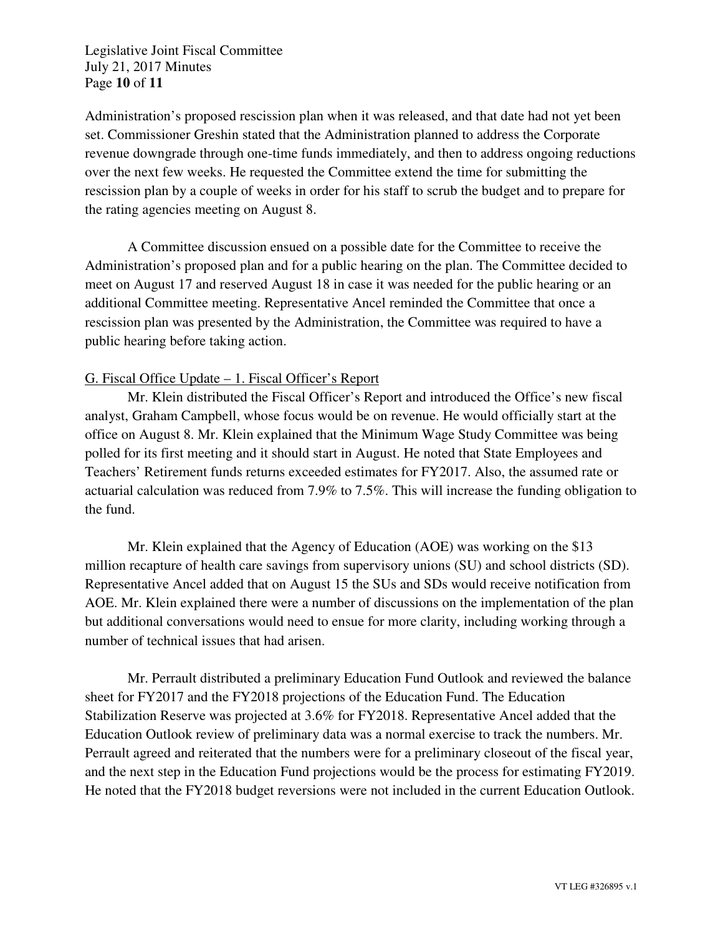Legislative Joint Fiscal Committee July 21, 2017 Minutes Page **10** of **11** 

Administration's proposed rescission plan when it was released, and that date had not yet been set. Commissioner Greshin stated that the Administration planned to address the Corporate revenue downgrade through one-time funds immediately, and then to address ongoing reductions over the next few weeks. He requested the Committee extend the time for submitting the rescission plan by a couple of weeks in order for his staff to scrub the budget and to prepare for the rating agencies meeting on August 8.

A Committee discussion ensued on a possible date for the Committee to receive the Administration's proposed plan and for a public hearing on the plan. The Committee decided to meet on August 17 and reserved August 18 in case it was needed for the public hearing or an additional Committee meeting. Representative Ancel reminded the Committee that once a rescission plan was presented by the Administration, the Committee was required to have a public hearing before taking action.

## G. Fiscal Office Update – 1. Fiscal Officer's Report

Mr. Klein distributed the Fiscal Officer's Report and introduced the Office's new fiscal analyst, Graham Campbell, whose focus would be on revenue. He would officially start at the office on August 8. Mr. Klein explained that the Minimum Wage Study Committee was being polled for its first meeting and it should start in August. He noted that State Employees and Teachers' Retirement funds returns exceeded estimates for FY2017. Also, the assumed rate or actuarial calculation was reduced from 7.9% to 7.5%. This will increase the funding obligation to the fund.

Mr. Klein explained that the Agency of Education (AOE) was working on the \$13 million recapture of health care savings from supervisory unions (SU) and school districts (SD). Representative Ancel added that on August 15 the SUs and SDs would receive notification from AOE. Mr. Klein explained there were a number of discussions on the implementation of the plan but additional conversations would need to ensue for more clarity, including working through a number of technical issues that had arisen.

Mr. Perrault distributed a preliminary Education Fund Outlook and reviewed the balance sheet for FY2017 and the FY2018 projections of the Education Fund. The Education Stabilization Reserve was projected at 3.6% for FY2018. Representative Ancel added that the Education Outlook review of preliminary data was a normal exercise to track the numbers. Mr. Perrault agreed and reiterated that the numbers were for a preliminary closeout of the fiscal year, and the next step in the Education Fund projections would be the process for estimating FY2019. He noted that the FY2018 budget reversions were not included in the current Education Outlook.